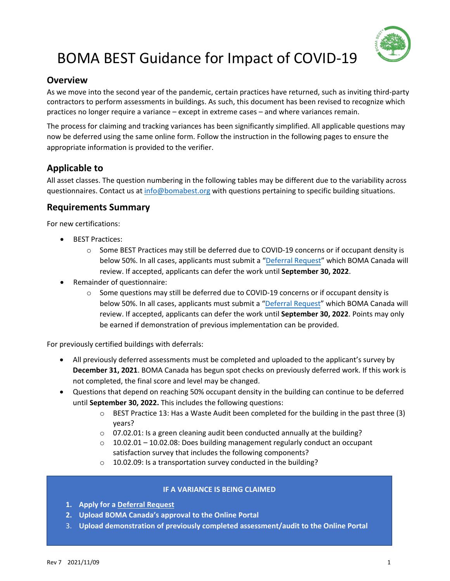

# BOMA BEST Guidance for Impact of COVID-19

### **Overview**

As we move into the second year of the pandemic, certain practices have returned, such as inviting third-party contractors to perform assessments in buildings. As such, this document has been revised to recognize which practices no longer require a variance – except in extreme cases – and where variances remain.

The process for claiming and tracking variances has been significantly simplified. All applicable questions may now be deferred using the same online form. Follow the instruction in the following pages to ensure the appropriate information is provided to the verifier.

# **Applicable to**

All asset classes. The question numbering in the following tables may be different due to the variability across questionnaires. Contact us a[t info@bomabest.org](mailto:info@bomabest.org) with questions pertaining to specific building situations.

## **Requirements Summary**

For new certifications:

- BEST Practices:
	- o Some BEST Practices may still be deferred due to COVID-19 concerns or if occupant density is below 50%. In all cases, applicants must submit a ["Deferral Request"](https://form.jotform.com/210764063271046) which BOMA Canada will review. If accepted, applicants can defer the work until **September 30, 2022**.
- Remainder of questionnaire:
	- $\circ$  Some questions may still be deferred due to COVID-19 concerns or if occupant density is below 50%. In all cases, applicants must submit a ["Deferral Request"](https://form.jotform.com/210764063271046) which BOMA Canada will review. If accepted, applicants can defer the work until **September 30, 2022**. Points may only be earned if demonstration of previous implementation can be provided.

For previously certified buildings with deferrals:

- All previously deferred assessments must be completed and uploaded to the applicant's survey by **December 31, 2021**. BOMA Canada has begun spot checks on previously deferred work. If this work is not completed, the final score and level may be changed.
- Questions that depend on reaching 50% occupant density in the building can continue to be deferred until **September 30, 2022.** This includes the following questions:
	- o BEST Practice 13: Has a Waste Audit been completed for the building in the past three (3) years?
	- $\circ$  07.02.01: Is a green cleaning audit been conducted annually at the building?
	- $\circ$  10.02.01 10.02.08: Does building management regularly conduct an occupant satisfaction survey that includes the following components?
	- o 10.02.09: Is a transportation survey conducted in the building?

#### **IF A VARIANCE IS BEING CLAIMED**

- **1. Apply for a [Deferral Request](https://form.jotform.com/210764063271046)**
- **2. Upload BOMA Canada's approval to the Online Portal**
- 3. **Upload demonstration of previously completed assessment/audit to the Online Portal**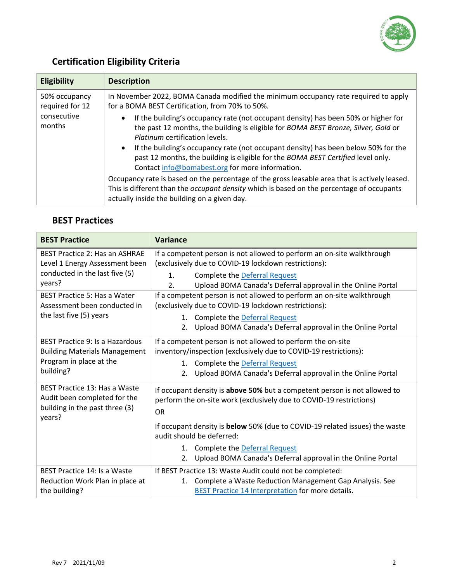

# **Certification Eligibility Criteria**

| <b>Eligibility</b>                                        | <b>Description</b>                                                                                                                                                                                                                                |
|-----------------------------------------------------------|---------------------------------------------------------------------------------------------------------------------------------------------------------------------------------------------------------------------------------------------------|
| 50% occupancy<br>required for 12<br>consecutive<br>months | In November 2022, BOMA Canada modified the minimum occupancy rate required to apply<br>for a BOMA BEST Certification, from 70% to 50%.                                                                                                            |
|                                                           | If the building's occupancy rate (not occupant density) has been 50% or higher for<br>the past 12 months, the building is eligible for BOMA BEST Bronze, Silver, Gold or<br>Platinum certification levels.                                        |
|                                                           | If the building's occupancy rate (not occupant density) has been below 50% for the<br>$\bullet$<br>past 12 months, the building is eligible for the BOMA BEST Certified level only.<br>Contact info@bomabest.org for more information.            |
|                                                           | Occupancy rate is based on the percentage of the gross leasable area that is actively leased.<br>This is different than the <i>occupant density</i> which is based on the percentage of occupants<br>actually inside the building on a given day. |

# **BEST Practices**

| <b>BEST Practice</b>                     | <b>Variance</b>                                                                                                 |
|------------------------------------------|-----------------------------------------------------------------------------------------------------------------|
| <b>BEST Practice 2: Has an ASHRAE</b>    | If a competent person is not allowed to perform an on-site walkthrough                                          |
| Level 1 Energy Assessment been           | (exclusively due to COVID-19 lockdown restrictions):                                                            |
| conducted in the last five (5)           | Complete the Deferral Request<br>$1_{-}$                                                                        |
| years?                                   | 2.<br>Upload BOMA Canada's Deferral approval in the Online Portal                                               |
| <b>BEST Practice 5: Has a Water</b>      | If a competent person is not allowed to perform an on-site walkthrough                                          |
| Assessment been conducted in             | (exclusively due to COVID-19 lockdown restrictions):                                                            |
| the last five (5) years                  | 1. Complete the Deferral Request                                                                                |
|                                          | Upload BOMA Canada's Deferral approval in the Online Portal<br>2.                                               |
| <b>BEST Practice 9: Is a Hazardous</b>   | If a competent person is not allowed to perform the on-site                                                     |
| <b>Building Materials Management</b>     | inventory/inspection (exclusively due to COVID-19 restrictions):                                                |
| Program in place at the                  | Complete the Deferral Request<br>1.                                                                             |
| building?                                | Upload BOMA Canada's Deferral approval in the Online Portal<br>2.                                               |
| BEST Practice 13: Has a Waste            | If occupant density is above 50% but a competent person is not allowed to                                       |
| Audit been completed for the             | perform the on-site work (exclusively due to COVID-19 restrictions)                                             |
| building in the past three (3)<br>years? | <b>OR</b>                                                                                                       |
|                                          | If occupant density is <b>below</b> 50% (due to COVID-19 related issues) the waste<br>audit should be deferred: |
|                                          | 1. Complete the Deferral Request                                                                                |
|                                          | Upload BOMA Canada's Deferral approval in the Online Portal<br>2.                                               |
| BEST Practice 14: Is a Waste             | If BEST Practice 13: Waste Audit could not be completed:                                                        |
| Reduction Work Plan in place at          | Complete a Waste Reduction Management Gap Analysis. See<br>1.                                                   |
| the building?                            | BEST Practice 14 Interpretation for more details.                                                               |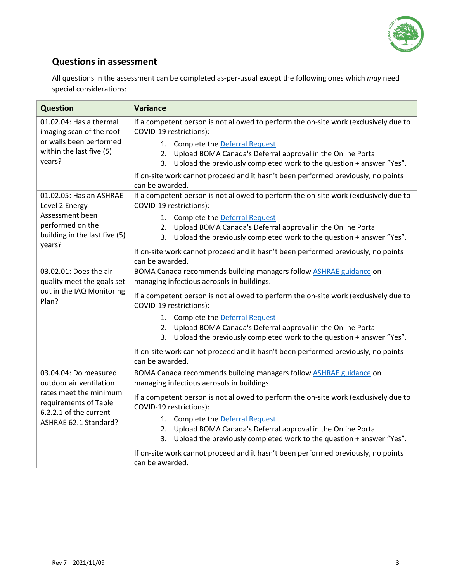

# **Questions in assessment**

All questions in the assessment can be completed as-per-usual except the following ones which *may* need special considerations:

| <b>Question</b>                                                                | <b>Variance</b>                                                                                                                                                                               |
|--------------------------------------------------------------------------------|-----------------------------------------------------------------------------------------------------------------------------------------------------------------------------------------------|
| 01.02.04: Has a thermal<br>imaging scan of the roof                            | If a competent person is not allowed to perform the on-site work (exclusively due to<br>COVID-19 restrictions):                                                                               |
| or walls been performed<br>within the last five (5)<br>years?                  | <b>Complete the Deferral Request</b><br>1.<br>Upload BOMA Canada's Deferral approval in the Online Portal<br>2.<br>Upload the previously completed work to the question + answer "Yes".<br>3. |
|                                                                                | If on-site work cannot proceed and it hasn't been performed previously, no points<br>can be awarded.                                                                                          |
| 01.02.05: Has an ASHRAE<br>Level 2 Energy                                      | If a competent person is not allowed to perform the on-site work (exclusively due to<br>COVID-19 restrictions):                                                                               |
| Assessment been<br>performed on the<br>building in the last five (5)<br>years? | 1. Complete the Deferral Request<br>Upload BOMA Canada's Deferral approval in the Online Portal<br>2.<br>Upload the previously completed work to the question + answer "Yes".<br>3.           |
|                                                                                | If on-site work cannot proceed and it hasn't been performed previously, no points<br>can be awarded.                                                                                          |
| 03.02.01: Does the air<br>quality meet the goals set                           | BOMA Canada recommends building managers follow <b>ASHRAE</b> guidance on<br>managing infectious aerosols in buildings.                                                                       |
| out in the IAQ Monitoring<br>Plan?                                             | If a competent person is not allowed to perform the on-site work (exclusively due to<br>COVID-19 restrictions):                                                                               |
|                                                                                | <b>Complete the Deferral Request</b><br>1.<br>Upload BOMA Canada's Deferral approval in the Online Portal<br>2.<br>3. Upload the previously completed work to the question + answer "Yes".    |
|                                                                                | If on-site work cannot proceed and it hasn't been performed previously, no points<br>can be awarded.                                                                                          |
| 03.04.04: Do measured<br>outdoor air ventilation                               | BOMA Canada recommends building managers follow <b>ASHRAE</b> guidance on<br>managing infectious aerosols in buildings.                                                                       |
| rates meet the minimum<br>requirements of Table<br>6.2.2.1 of the current      | If a competent person is not allowed to perform the on-site work (exclusively due to<br>COVID-19 restrictions):                                                                               |
| ASHRAE 62.1 Standard?                                                          | 1. Complete the Deferral Request<br>2. Upload BOMA Canada's Deferral approval in the Online Portal<br>Upload the previously completed work to the question + answer "Yes".<br>3.              |
|                                                                                | If on-site work cannot proceed and it hasn't been performed previously, no points<br>can be awarded.                                                                                          |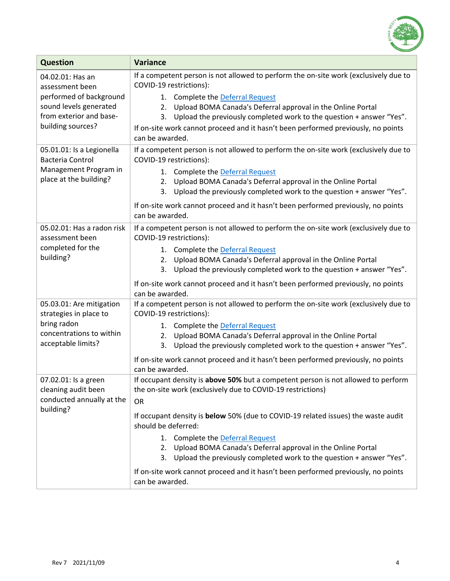

| <b>Question</b>                                      | <b>Variance</b>                                                                                                                                  |
|------------------------------------------------------|--------------------------------------------------------------------------------------------------------------------------------------------------|
| 04.02.01: Has an<br>assessment been                  | If a competent person is not allowed to perform the on-site work (exclusively due to<br>COVID-19 restrictions):                                  |
| performed of background<br>sound levels generated    | Complete the Deferral Request<br>1.<br>Upload BOMA Canada's Deferral approval in the Online Portal<br>2.                                         |
| from exterior and base-                              | Upload the previously completed work to the question + answer "Yes".<br>3.                                                                       |
| building sources?                                    | If on-site work cannot proceed and it hasn't been performed previously, no points<br>can be awarded.                                             |
| 05.01.01: Is a Legionella<br><b>Bacteria Control</b> | If a competent person is not allowed to perform the on-site work (exclusively due to<br>COVID-19 restrictions):                                  |
| Management Program in<br>place at the building?      | Complete the Deferral Request<br>1.                                                                                                              |
|                                                      | Upload BOMA Canada's Deferral approval in the Online Portal<br>2.<br>Upload the previously completed work to the question + answer "Yes".<br>3.  |
|                                                      | If on-site work cannot proceed and it hasn't been performed previously, no points<br>can be awarded.                                             |
| 05.02.01: Has a radon risk<br>assessment been        | If a competent person is not allowed to perform the on-site work (exclusively due to<br>COVID-19 restrictions):                                  |
| completed for the<br>building?                       | Complete the Deferral Request<br>1.                                                                                                              |
|                                                      | Upload BOMA Canada's Deferral approval in the Online Portal<br>2.<br>Upload the previously completed work to the question + answer "Yes".<br>3.  |
|                                                      | If on-site work cannot proceed and it hasn't been performed previously, no points<br>can be awarded.                                             |
| 05.03.01: Are mitigation<br>strategies in place to   | If a competent person is not allowed to perform the on-site work (exclusively due to<br>COVID-19 restrictions):                                  |
| bring radon<br>concentrations to within              | Complete the Deferral Request<br>1.                                                                                                              |
| acceptable limits?                                   | Upload BOMA Canada's Deferral approval in the Online Portal<br>2.<br>Upload the previously completed work to the question + answer "Yes".<br>3.  |
|                                                      | If on-site work cannot proceed and it hasn't been performed previously, no points<br>can be awarded.                                             |
| 07.02.01: Is a green<br>cleaning audit been          | If occupant density is above 50% but a competent person is not allowed to perform<br>the on-site work (exclusively due to COVID-19 restrictions) |
| conducted annually at the                            | <b>OR</b>                                                                                                                                        |
| building?                                            | If occupant density is below 50% (due to COVID-19 related issues) the waste audit<br>should be deferred:                                         |
|                                                      | 1. Complete the Deferral Request<br>Upload BOMA Canada's Deferral approval in the Online Portal<br>2.                                            |
|                                                      | Upload the previously completed work to the question + answer "Yes".<br>3.                                                                       |
|                                                      | If on-site work cannot proceed and it hasn't been performed previously, no points<br>can be awarded.                                             |